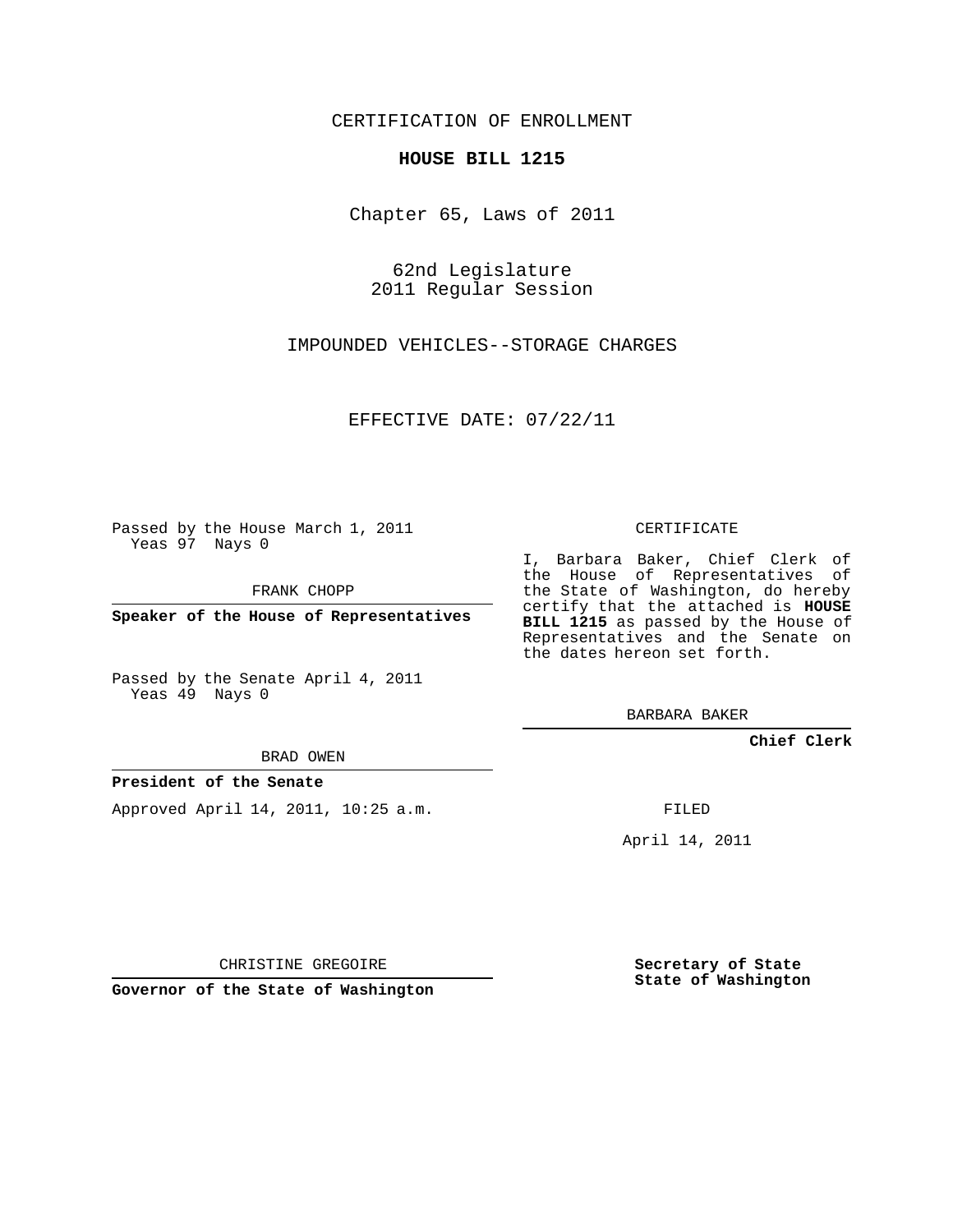## CERTIFICATION OF ENROLLMENT

## **HOUSE BILL 1215**

Chapter 65, Laws of 2011

62nd Legislature 2011 Regular Session

IMPOUNDED VEHICLES--STORAGE CHARGES

EFFECTIVE DATE: 07/22/11

Passed by the House March 1, 2011 Yeas 97 Nays 0

FRANK CHOPP

**Speaker of the House of Representatives**

Passed by the Senate April 4, 2011 Yeas 49 Nays 0

BRAD OWEN

## **President of the Senate**

Approved April 14, 2011, 10:25 a.m.

CERTIFICATE

I, Barbara Baker, Chief Clerk of the House of Representatives of the State of Washington, do hereby certify that the attached is **HOUSE BILL 1215** as passed by the House of Representatives and the Senate on the dates hereon set forth.

BARBARA BAKER

**Chief Clerk**

FILED

April 14, 2011

CHRISTINE GREGOIRE

**Governor of the State of Washington**

**Secretary of State State of Washington**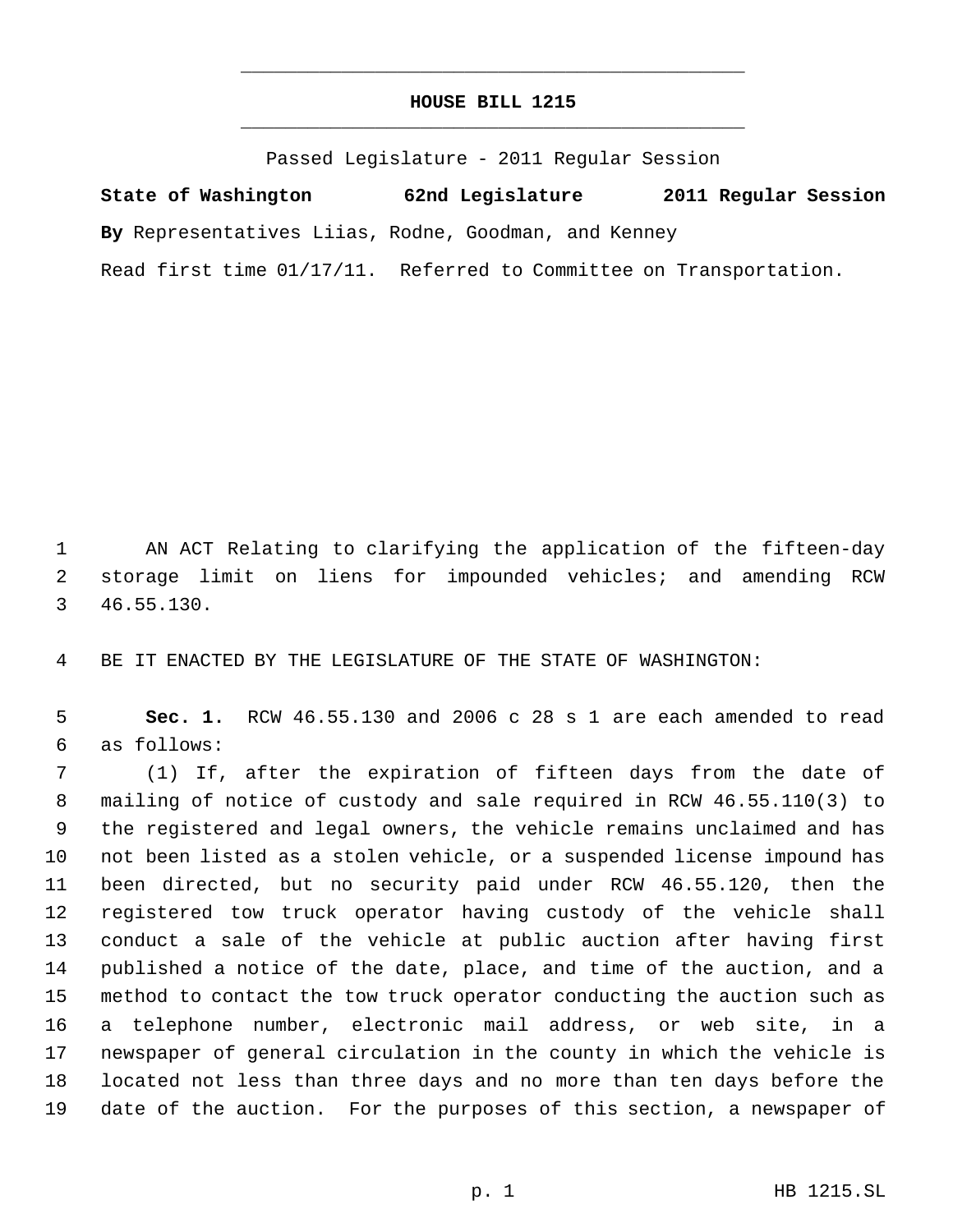## **HOUSE BILL 1215** \_\_\_\_\_\_\_\_\_\_\_\_\_\_\_\_\_\_\_\_\_\_\_\_\_\_\_\_\_\_\_\_\_\_\_\_\_\_\_\_\_\_\_\_\_

\_\_\_\_\_\_\_\_\_\_\_\_\_\_\_\_\_\_\_\_\_\_\_\_\_\_\_\_\_\_\_\_\_\_\_\_\_\_\_\_\_\_\_\_\_

Passed Legislature - 2011 Regular Session

**State of Washington 62nd Legislature 2011 Regular Session By** Representatives Liias, Rodne, Goodman, and Kenney Read first time 01/17/11. Referred to Committee on Transportation.

 AN ACT Relating to clarifying the application of the fifteen-day storage limit on liens for impounded vehicles; and amending RCW 46.55.130.

BE IT ENACTED BY THE LEGISLATURE OF THE STATE OF WASHINGTON:

 **Sec. 1.** RCW 46.55.130 and 2006 c 28 s 1 are each amended to read as follows:

 (1) If, after the expiration of fifteen days from the date of mailing of notice of custody and sale required in RCW 46.55.110(3) to the registered and legal owners, the vehicle remains unclaimed and has not been listed as a stolen vehicle, or a suspended license impound has been directed, but no security paid under RCW 46.55.120, then the registered tow truck operator having custody of the vehicle shall conduct a sale of the vehicle at public auction after having first published a notice of the date, place, and time of the auction, and a method to contact the tow truck operator conducting the auction such as a telephone number, electronic mail address, or web site, in a newspaper of general circulation in the county in which the vehicle is located not less than three days and no more than ten days before the date of the auction. For the purposes of this section, a newspaper of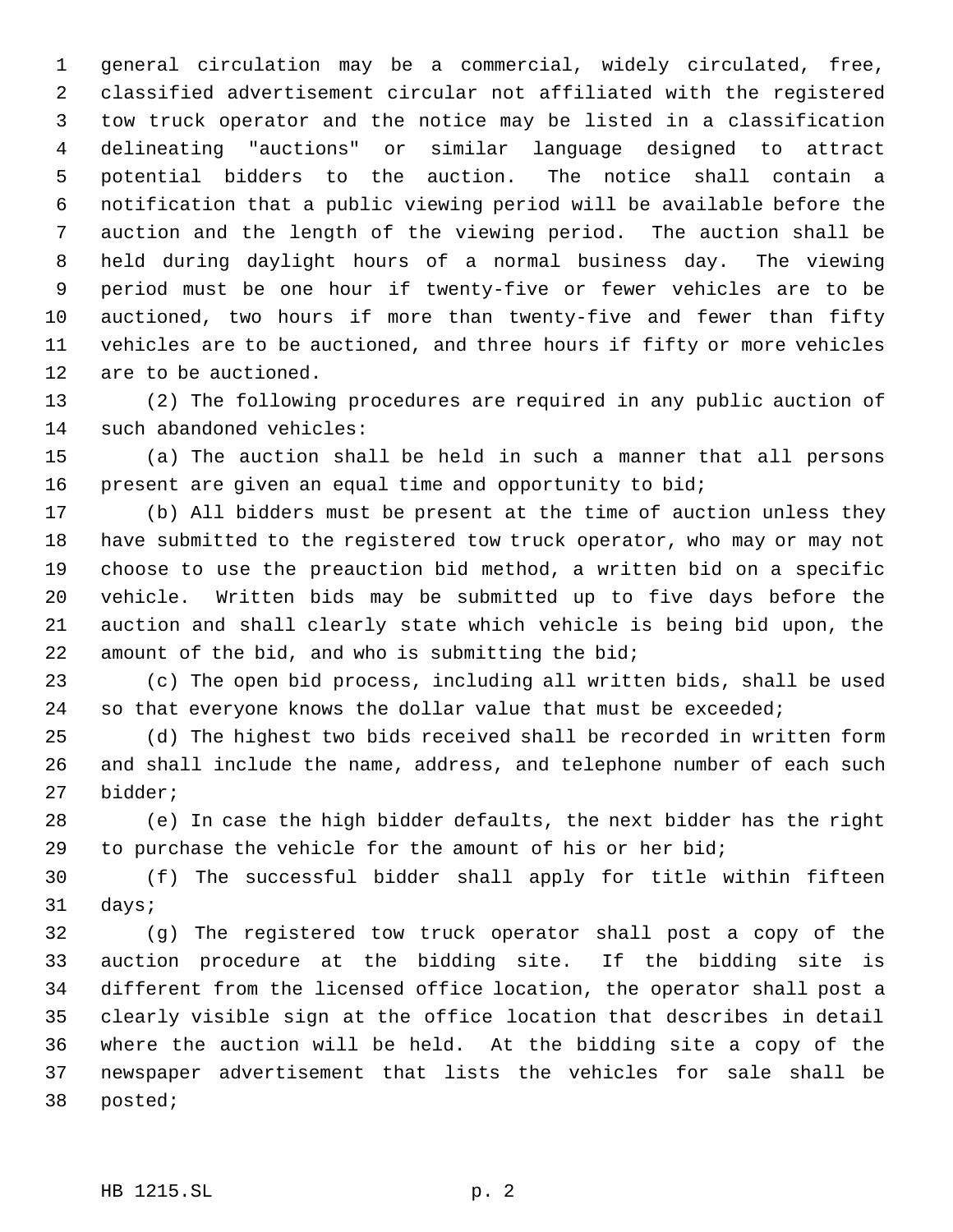general circulation may be a commercial, widely circulated, free, classified advertisement circular not affiliated with the registered tow truck operator and the notice may be listed in a classification delineating "auctions" or similar language designed to attract potential bidders to the auction. The notice shall contain a notification that a public viewing period will be available before the auction and the length of the viewing period. The auction shall be held during daylight hours of a normal business day. The viewing period must be one hour if twenty-five or fewer vehicles are to be auctioned, two hours if more than twenty-five and fewer than fifty vehicles are to be auctioned, and three hours if fifty or more vehicles are to be auctioned.

 (2) The following procedures are required in any public auction of such abandoned vehicles:

 (a) The auction shall be held in such a manner that all persons present are given an equal time and opportunity to bid;

 (b) All bidders must be present at the time of auction unless they have submitted to the registered tow truck operator, who may or may not choose to use the preauction bid method, a written bid on a specific vehicle. Written bids may be submitted up to five days before the auction and shall clearly state which vehicle is being bid upon, the amount of the bid, and who is submitting the bid;

 (c) The open bid process, including all written bids, shall be used so that everyone knows the dollar value that must be exceeded;

 (d) The highest two bids received shall be recorded in written form and shall include the name, address, and telephone number of each such bidder;

 (e) In case the high bidder defaults, the next bidder has the right to purchase the vehicle for the amount of his or her bid;

 (f) The successful bidder shall apply for title within fifteen days;

 (g) The registered tow truck operator shall post a copy of the auction procedure at the bidding site. If the bidding site is different from the licensed office location, the operator shall post a clearly visible sign at the office location that describes in detail where the auction will be held. At the bidding site a copy of the newspaper advertisement that lists the vehicles for sale shall be posted;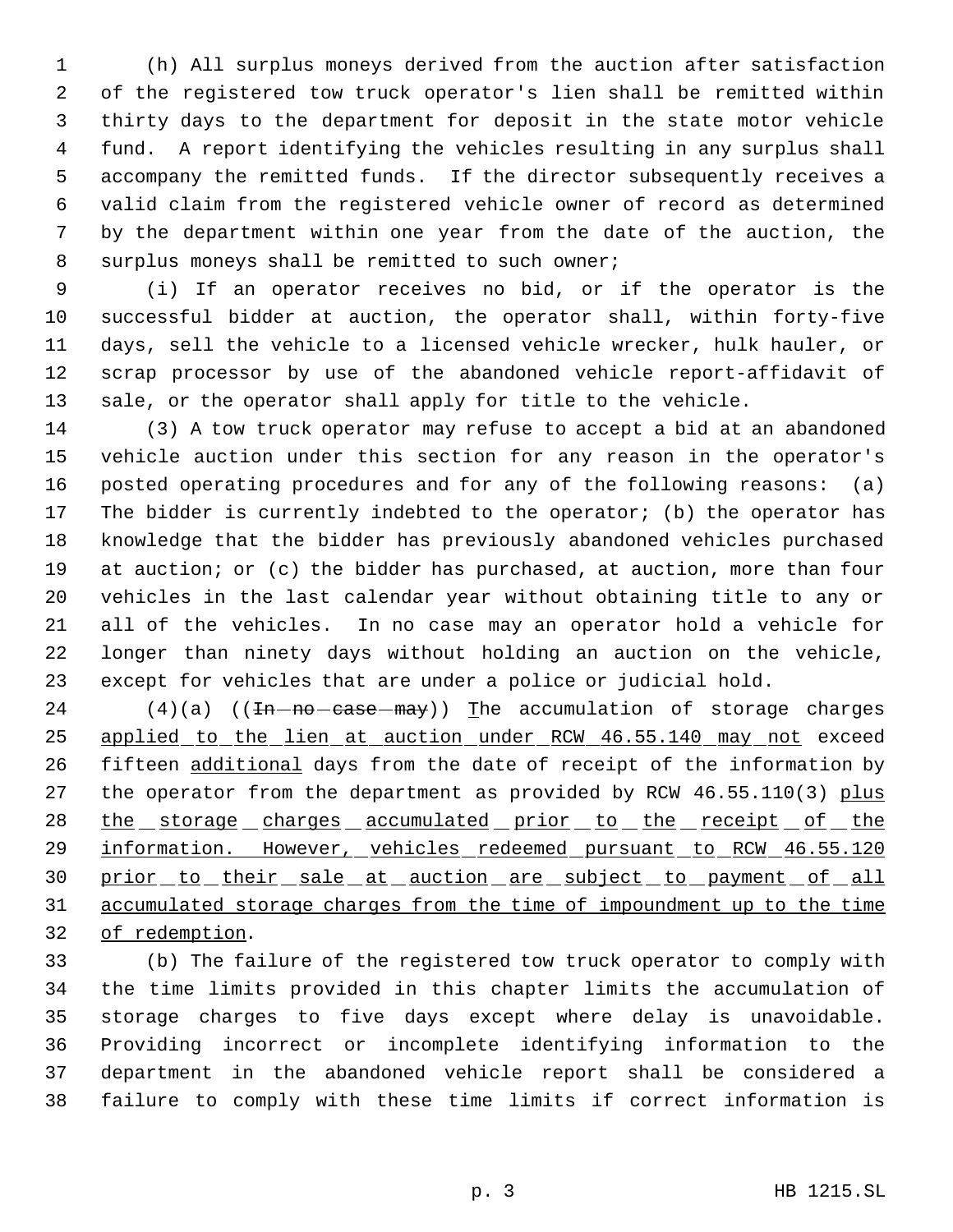(h) All surplus moneys derived from the auction after satisfaction of the registered tow truck operator's lien shall be remitted within thirty days to the department for deposit in the state motor vehicle fund. A report identifying the vehicles resulting in any surplus shall accompany the remitted funds. If the director subsequently receives a valid claim from the registered vehicle owner of record as determined by the department within one year from the date of the auction, the 8 surplus moneys shall be remitted to such owner;

 (i) If an operator receives no bid, or if the operator is the successful bidder at auction, the operator shall, within forty-five days, sell the vehicle to a licensed vehicle wrecker, hulk hauler, or scrap processor by use of the abandoned vehicle report-affidavit of sale, or the operator shall apply for title to the vehicle.

 (3) A tow truck operator may refuse to accept a bid at an abandoned vehicle auction under this section for any reason in the operator's posted operating procedures and for any of the following reasons: (a) The bidder is currently indebted to the operator; (b) the operator has knowledge that the bidder has previously abandoned vehicles purchased 19 at auction; or (c) the bidder has purchased, at auction, more than four vehicles in the last calendar year without obtaining title to any or all of the vehicles. In no case may an operator hold a vehicle for longer than ninety days without holding an auction on the vehicle, except for vehicles that are under a police or judicial hold.

 (4)(a) (( $\text{In}-\text{no-case}-\text{may}$ )) The accumulation of storage charges 25 applied to the lien at auction under RCW 46.55.140 may not exceed fifteen additional days from the date of receipt of the information by 27 the operator from the department as provided by RCW 46.55.110(3) plus 28 the storage charges accumulated prior to the receipt of the 29 information. However, vehicles redeemed pursuant to RCW 46.55.120 30 prior to their sale at auction are subject to payment of all accumulated storage charges from the time of impoundment up to the time of redemption.

 (b) The failure of the registered tow truck operator to comply with the time limits provided in this chapter limits the accumulation of storage charges to five days except where delay is unavoidable. Providing incorrect or incomplete identifying information to the department in the abandoned vehicle report shall be considered a failure to comply with these time limits if correct information is